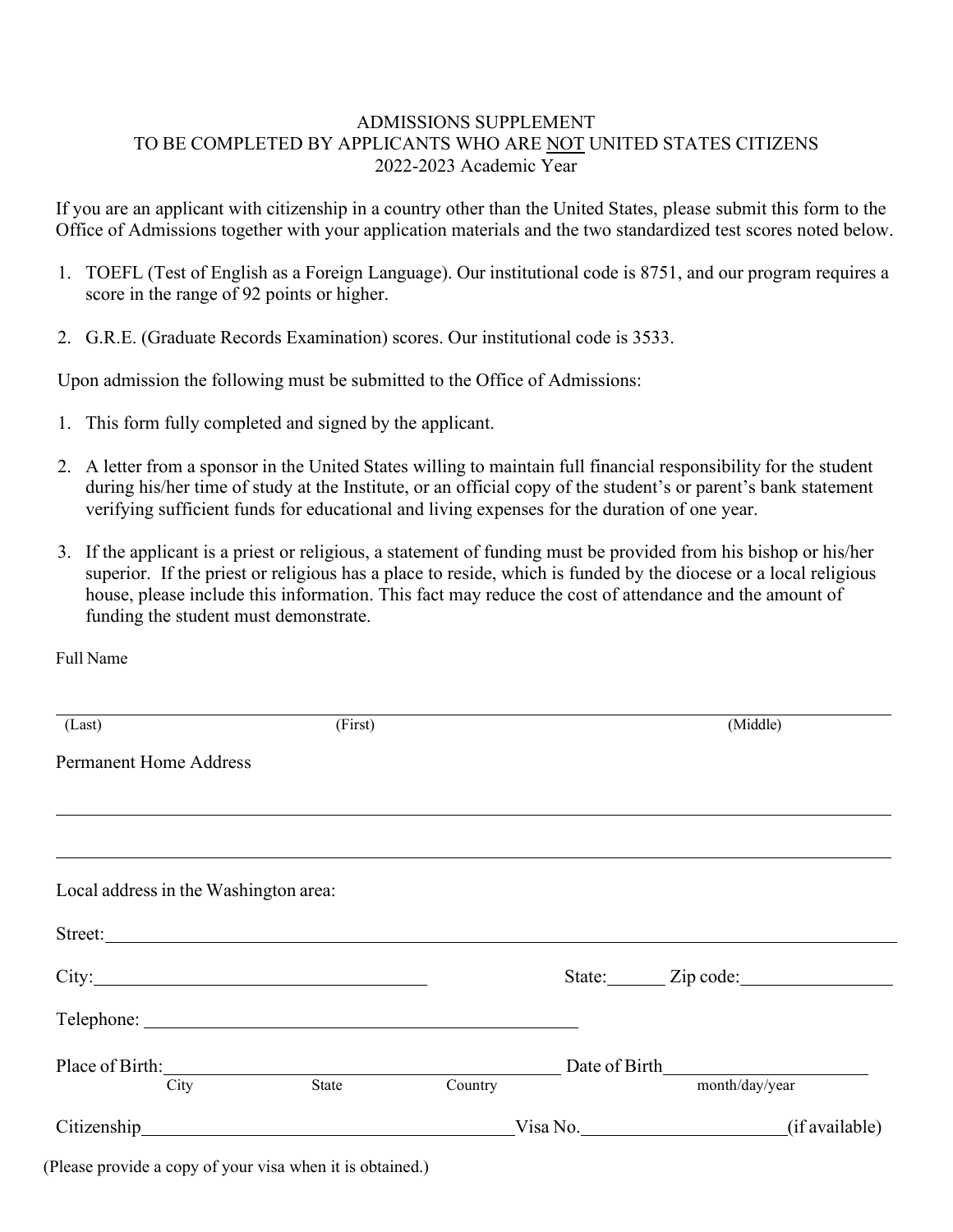## ADMISSIONS SUPPLEMENT TO BE COMPLETED BY APPLICANTS WHO ARE NOT UNITED STATES CITIZENS 2022-2023 Academic Year

If you are an applicant with citizenship in a country other than the United States, please submit this form to the Office of Admissions together with your application materials and the two standardized test scores noted below.

- 1. TOEFL (Test of English as a Foreign Language). Our institutional code is 8751, and our program requires a score in the range of 92 points or higher.
- 2. G.R.E. (Graduate Records Examination) scores. Our institutional code is 3533.

Upon admission the following must be submitted to the Office of Admissions:

- 1. This form fully completed and signed by the applicant.
- 2. A letter from a sponsor in the United States willing to maintain full financial responsibility for the student during his/her time of study at the Institute, or an official copy of the student's or parent's bank statement verifying sufficient funds for educational and living expenses for the duration of one year.
- 3. If the applicant is a priest or religious, a statement of funding must be provided from his bishop or his/her superior. If the priest or religious has a place to reside, which is funded by the diocese or a local religious house, please include this information. This fact may reduce the cost of attendance and the amount of funding the student must demonstrate.

Full Name

| (Last)                                | (First) |         |                            | (Middle)         |
|---------------------------------------|---------|---------|----------------------------|------------------|
| <b>Permanent Home Address</b>         |         |         |                            |                  |
|                                       |         |         |                            |                  |
|                                       |         |         |                            |                  |
| Local address in the Washington area: |         |         |                            |                  |
| Street:                               |         |         |                            |                  |
|                                       |         |         |                            | State: Zip code: |
|                                       |         |         |                            |                  |
| Place of Birth:                       |         |         |                            |                  |
| City                                  | State   | Country |                            | month/day/year   |
|                                       |         |         | (if available)<br>Visa No. |                  |

(Please provide a copy of your visa when it is obtained.)